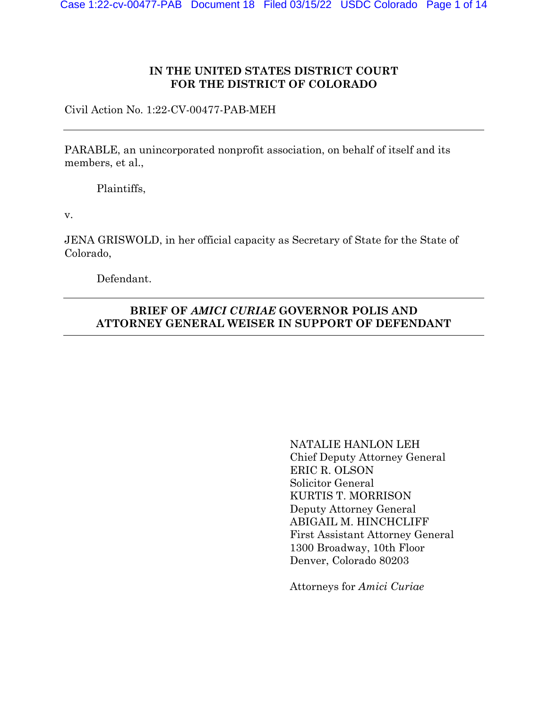### **IN THE UNITED STATES DISTRICT COURT FOR THE DISTRICT OF COLORADO**

Civil Action No. 1:22-CV-00477-PAB-MEH

PARABLE, an unincorporated nonprofit association, on behalf of itself and its members, et al.,

Plaintiffs,

v.

JENA GRISWOLD, in her official capacity as Secretary of State for the State of Colorado,

Defendant.

# **BRIEF OF** *AMICI CURIAE* **GOVERNOR POLIS AND ATTORNEY GENERAL WEISER IN SUPPORT OF DEFENDANT**

NATALIE HANLON LEH Chief Deputy Attorney General ERIC R. OLSON Solicitor General KURTIS T. MORRISON Deputy Attorney General ABIGAIL M. HINCHCLIFF First Assistant Attorney General 1300 Broadway, 10th Floor Denver, Colorado 80203

Attorneys for *Amici Curiae*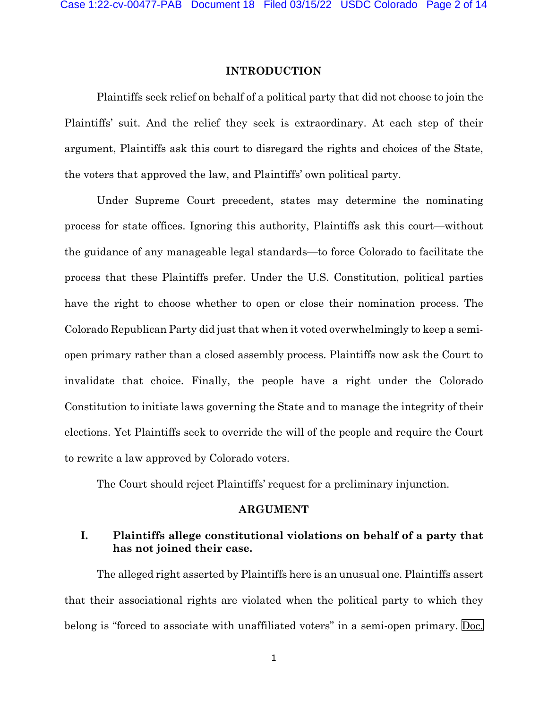### **INTRODUCTION**

Plaintiffs seek relief on behalf of a political party that did not choose to join the Plaintiffs' suit. And the relief they seek is extraordinary. At each step of their argument, Plaintiffs ask this court to disregard the rights and choices of the State, the voters that approved the law, and Plaintiffs' own political party.

Under Supreme Court precedent, states may determine the nominating process for state offices. Ignoring this authority, Plaintiffs ask this court—without the guidance of any manageable legal standards—to force Colorado to facilitate the process that these Plaintiffs prefer. Under the U.S. Constitution, political parties have the right to choose whether to open or close their nomination process. The Colorado Republican Party did just that when it voted overwhelmingly to keep a semiopen primary rather than a closed assembly process. Plaintiffs now ask the Court to invalidate that choice. Finally, the people have a right under the Colorado Constitution to initiate laws governing the State and to manage the integrity of their elections. Yet Plaintiffs seek to override the will of the people and require the Court to rewrite a law approved by Colorado voters.

The Court should reject Plaintiffs' request for a preliminary injunction.

#### **ARGUMENT**

# **I. Plaintiffs allege constitutional violations on behalf of a party that has not joined their case.**

The alleged right asserted by Plaintiffs here is an unusual one. Plaintiffs assert that their associational rights are violated when the political party to which they belong is "forced to associate with unaffiliated voters" in a semi-open primary. [Doc.](https://cod-ecf.sso.dcn/n/cmecfservices/rest/file/finddoc?caseYear=2022&caseNum=00477&caseType=cv&caseOffice=1&docNum=2&docSeq=1)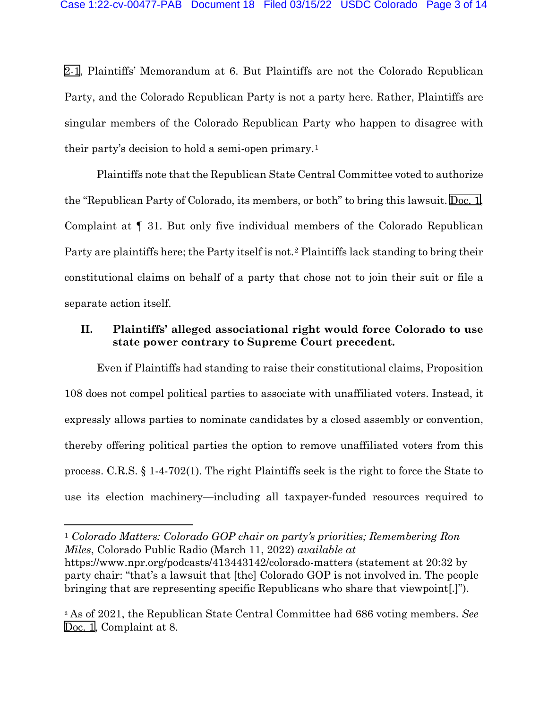[2-1](https://cod-ecf.sso.dcn/n/cmecfservices/rest/file/finddoc?caseYear=2022&caseNum=00477&caseType=cv&caseOffice=1&docNum=2&docSeq=1), Plaintiffs' Memorandum at 6. But Plaintiffs are not the Colorado Republican Party, and the Colorado Republican Party is not a party here. Rather, Plaintiffs are singular members of the Colorado Republican Party who happen to disagree with their party's decision to hold a semi-open primary.[1](#page-2-0)

Plaintiffs note that the Republican State Central Committee voted to authorize the "Republican Party of Colorado, its members, or both" to bring this lawsuit. [Doc.](https://cod-ecf.sso.dcn/n/cmecfservices/rest/file/finddoc?caseYear=2022&caseNum=00477&caseType=cv&caseOffice=1&docNum=1) 1, Complaint at ¶ 31. But only five individual members of the Colorado Republican Party are plaintiffs here; the Party itself is not.[2](#page-2-1) Plaintiffs lack standing to bring their constitutional claims on behalf of a party that chose not to join their suit or file a separate action itself.

# **II. Plaintiffs' alleged associational right would force Colorado to use state power contrary to Supreme Court precedent.**

Even if Plaintiffs had standing to raise their constitutional claims, Proposition 108 does not compel political parties to associate with unaffiliated voters. Instead, it expressly allows parties to nominate candidates by a closed assembly or convention, thereby offering political parties the option to remove unaffiliated voters from this process. C.R.S. § 1-4-702(1). The right Plaintiffs seek is the right to force the State to use its election machinery—including all taxpayer-funded resources required to

<span id="page-2-0"></span><sup>1</sup> *Colorado Matters: Colorado GOP chair on party's priorities; Remembering Ron Miles*, Colorado Public Radio (March 11, 2022) *available at*  https://www.npr.org/podcasts/413443142/colorado-matters (statement at 20:32 by party chair: "that's a lawsuit that [the] Colorado GOP is not involved in. The people bringing that are representing specific Republicans who share that viewpoint[.]").

<span id="page-2-1"></span><sup>2</sup> As of 2021, the Republican State Central Committee had 686 voting members. *See*  [Doc. 1](https://cod-ecf.sso.dcn/n/cmecfservices/rest/file/finddoc?caseYear=2022&caseNum=00477&caseType=cv&caseOffice=1&docNum=1), Complaint at 8.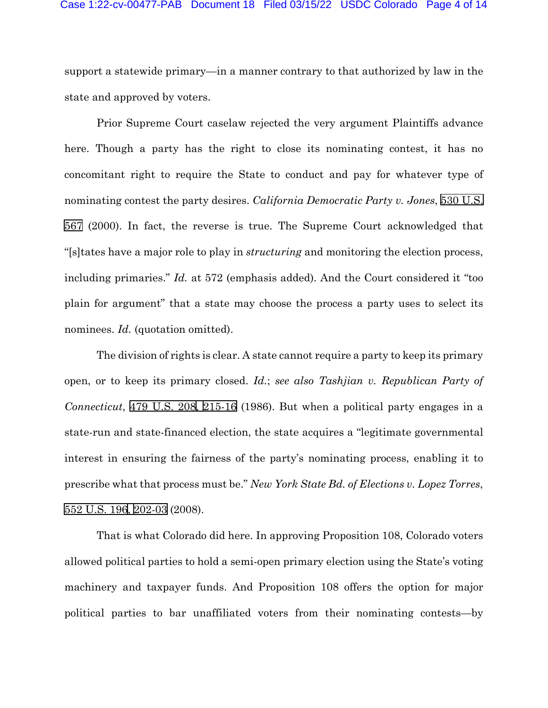#### Case 1:22-cv-00477-PAB Document 18 Filed 03/15/22 USDC Colorado Page 4 of 14

support a statewide primary—in a manner contrary to that authorized by law in the state and approved by voters.

Prior Supreme Court caselaw rejected the very argument Plaintiffs advance here. Though a party has the right to close its nominating contest, it has no concomitant right to require the State to conduct and pay for whatever type of nominating contest the party desires. *California Democratic Party v. Jones*, [530 U.S.](http://www.google.com/search?q=530++u.s.++567) [567](http://www.google.com/search?q=530++u.s.++567) (2000). In fact, the reverse is true. The Supreme Court acknowledged that "[s]tates have a major role to play in *structuring* and monitoring the election process, including primaries." *Id.* at 572 (emphasis added). And the Court considered it "too plain for argument" that a state may choose the process a party uses to select its nominees. *Id.* (quotation omitted).

The division of rights is clear. A state cannot require a party to keep its primary open, or to keep its primary closed. *Id.*; *see also Tashjian v. Republican Party of Connecticut*, [479 U.S. 208](http://www.google.com/search?q=479+u.s.+208)[,](http://scholar.google.com/scholar?q=479+u.s.+208&btnG=&hl=en&as_sdt=6) [215-16](http://www.google.com/search?q=215-16) (1986). But when a political party engages in a state-run and state-financed election, the state acquires a "legitimate governmental interest in ensuring the fairness of the party's nominating process, enabling it to prescribe what that process must be." *New York State Bd. of Elections v. Lopez Torres*, [552 U.S. 196](http://www.google.com/search?q=552+u.s.+196)[, 2](http://scholar.google.com/scholar?q=552+u.s.+196&btnG=&hl=en&as_sdt=6)[02-03](http://www.google.com/search?q=202-03) (2008).

That is what Colorado did here. In approving Proposition 108, Colorado voters allowed political parties to hold a semi-open primary election using the State's voting machinery and taxpayer funds. And Proposition 108 offers the option for major political parties to bar unaffiliated voters from their nominating contests—by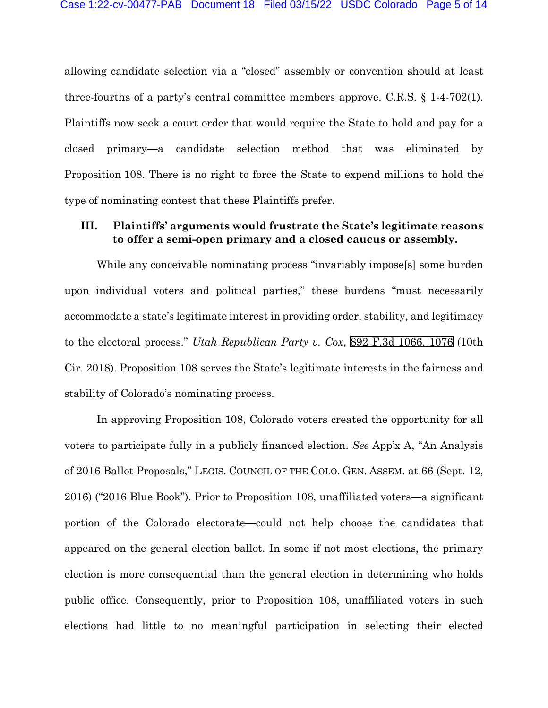allowing candidate selection via a "closed" assembly or convention should at least three-fourths of a party's central committee members approve. C.R.S. § 1-4-702(1). Plaintiffs now seek a court order that would require the State to hold and pay for a closed primary—a candidate selection method that was eliminated by Proposition 108. There is no right to force the State to expend millions to hold the type of nominating contest that these Plaintiffs prefer.

### **III. Plaintiffs' arguments would frustrate the State's legitimate reasons to offer a semi-open primary and a closed caucus or assembly.**

While any conceivable nominating process "invariably impose[s] some burden upon individual voters and political parties," these burdens "must necessarily accommodate a state's legitimate interest in providing order, stability, and legitimacy to the electoral process." *Utah Republican Party v. Cox*, [892 F.3d 1066, 1076](http://scholar.google.com/scholar?q=892+f.3d+1066&btnG=&hl=en&as_sdt=6) (10th Cir. 2018). Proposition 108 serves the State's legitimate interests in the fairness and stability of Colorado's nominating process.

In approving Proposition 108, Colorado voters created the opportunity for all voters to participate fully in a publicly financed election. *See* App'x A, "An Analysis of 2016 Ballot Proposals," LEGIS. COUNCIL OF THE COLO. GEN. ASSEM. at 66 (Sept. 12, 2016) ("2016 Blue Book"). Prior to Proposition 108, unaffiliated voters—a significant portion of the Colorado electorate—could not help choose the candidates that appeared on the general election ballot. In some if not most elections, the primary election is more consequential than the general election in determining who holds public office. Consequently, prior to Proposition 108, unaffiliated voters in such elections had little to no meaningful participation in selecting their elected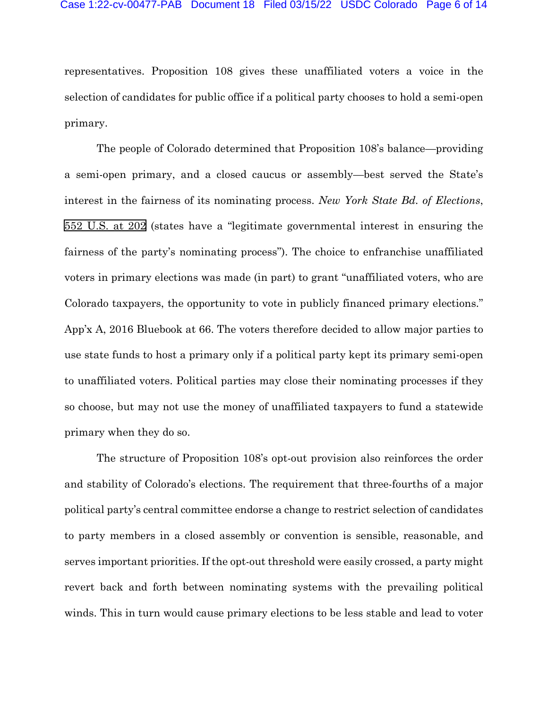#### Case 1:22-cv-00477-PAB Document 18 Filed 03/15/22 USDC Colorado Page 6 of 14

representatives. Proposition 108 gives these unaffiliated voters a voice in the selection of candidates for public office if a political party chooses to hold a semi-open primary.

The people of Colorado determined that Proposition 108's balance—providing a semi-open primary, and a closed caucus or assembly—best served the State's interest in the fairness of its nominating process. *New York State Bd. of Elections*, [552 U.S. at](http://scholar.google.com/scholar?q=552+u.s.+196&btnG=&hl=en&as_sdt=6) 202 (states have a "legitimate governmental interest in ensuring the fairness of the party's nominating process"). The choice to enfranchise unaffiliated voters in primary elections was made (in part) to grant "unaffiliated voters, who are Colorado taxpayers, the opportunity to vote in publicly financed primary elections." App'x A, 2016 Bluebook at 66. The voters therefore decided to allow major parties to use state funds to host a primary only if a political party kept its primary semi-open to unaffiliated voters. Political parties may close their nominating processes if they so choose, but may not use the money of unaffiliated taxpayers to fund a statewide primary when they do so.

The structure of Proposition 108's opt-out provision also reinforces the order and stability of Colorado's elections. The requirement that three-fourths of a major political party's central committee endorse a change to restrict selection of candidates to party members in a closed assembly or convention is sensible, reasonable, and serves important priorities. If the opt-out threshold were easily crossed, a party might revert back and forth between nominating systems with the prevailing political winds. This in turn would cause primary elections to be less stable and lead to voter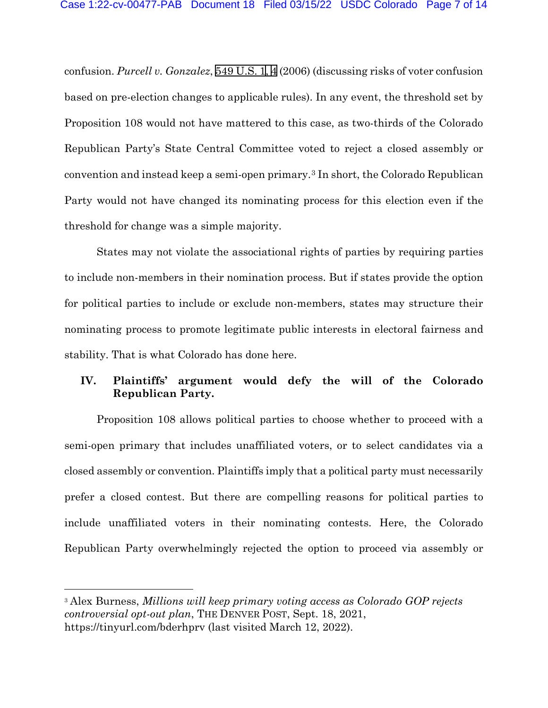confusion. *Purcell v. Gonzalez*, [549 U.S. 1](http://www.google.com/search?q=549+u.s.+1)[, 4](http://scholar.google.com/scholar?q=549+u.s.+1&btnG=&hl=en&as_sdt=6)(2006) (discussing risks of voter confusion based on pre-election changes to applicable rules). In any event, the threshold set by Proposition 108 would not have mattered to this case, as two-thirds of the Colorado Republican Party's State Central Committee voted to reject a closed assembly or convention and instead keep a semi-open primary.[3](#page-6-0) In short, the Colorado Republican Party would not have changed its nominating process for this election even if the threshold for change was a simple majority.

States may not violate the associational rights of parties by requiring parties to include non-members in their nomination process. But if states provide the option for political parties to include or exclude non-members, states may structure their nominating process to promote legitimate public interests in electoral fairness and stability. That is what Colorado has done here.

# **IV. Plaintiffs' argument would defy the will of the Colorado Republican Party.**

Proposition 108 allows political parties to choose whether to proceed with a semi-open primary that includes unaffiliated voters, or to select candidates via a closed assembly or convention. Plaintiffs imply that a political party must necessarily prefer a closed contest. But there are compelling reasons for political parties to include unaffiliated voters in their nominating contests. Here, the Colorado Republican Party overwhelmingly rejected the option to proceed via assembly or

<span id="page-6-0"></span><sup>3</sup> Alex Burness, *Millions will keep primary voting access as Colorado GOP rejects controversial opt-out plan*, THE DENVER POST, Sept. 18, 2021, https://tinyurl.com/bderhprv (last visited March 12, 2022).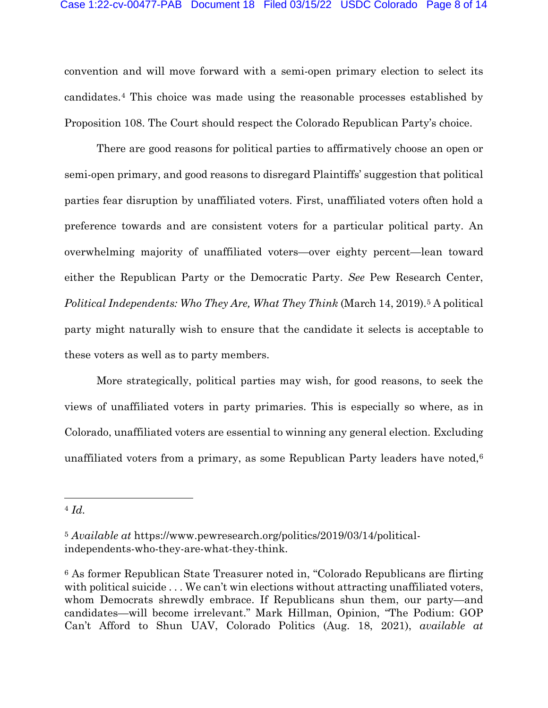convention and will move forward with a semi-open primary election to select its candidates.[4](#page-7-0) This choice was made using the reasonable processes established by Proposition 108. The Court should respect the Colorado Republican Party's choice.

There are good reasons for political parties to affirmatively choose an open or semi-open primary, and good reasons to disregard Plaintiffs' suggestion that political parties fear disruption by unaffiliated voters. First, unaffiliated voters often hold a preference towards and are consistent voters for a particular political party. An overwhelming majority of unaffiliated voters—over eighty percent—lean toward either the Republican Party or the Democratic Party. *See* Pew Research Center, *Political Independents: Who They Are, What They Think* (March 14, 2019).<sup>[5](#page-7-1)</sup> A political party might naturally wish to ensure that the candidate it selects is acceptable to these voters as well as to party members.

More strategically, political parties may wish, for good reasons, to seek the views of unaffiliated voters in party primaries. This is especially so where, as in Colorado, unaffiliated voters are essential to winning any general election. Excluding unaffiliated voters from a primary, as some Republican Party leaders have noted, $6$ 

<span id="page-7-0"></span><sup>4</sup> *Id.*

<span id="page-7-1"></span><sup>5</sup> *Available at* https://www.pewresearch.org/politics/2019/03/14/politicalindependents-who-they-are-what-they-think.

<span id="page-7-2"></span><sup>6</sup> As former Republican State Treasurer noted in, "Colorado Republicans are flirting with political suicide . . . We can't win elections without attracting unaffiliated voters, whom Democrats shrewdly embrace. If Republicans shun them, our party—and candidates—will become irrelevant." Mark Hillman, Opinion, "The Podium: GOP Can't Afford to Shun UAV, Colorado Politics (Aug. 18, 2021), *available at*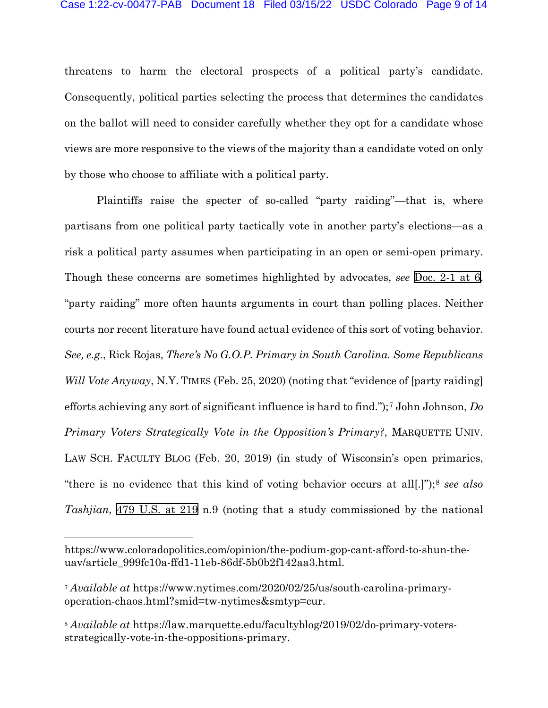threatens to harm the electoral prospects of a political party's candidate. Consequently, political parties selecting the process that determines the candidates on the ballot will need to consider carefully whether they opt for a candidate whose views are more responsive to the views of the majority than a candidate voted on only by those who choose to affiliate with a political party.

Plaintiffs raise the specter of so-called "party raiding"—that is, where partisans from one political party tactically vote in another party's elections—as a risk a political party assumes when participating in an open or semi-open primary. Though these concerns are sometimes highlighted by advocates, *see* [Doc. 2-1 at 6,](https://cod-ecf.sso.dcn/n/cmecfservices/rest/file/finddoc?caseYear=2022&caseNum=00477&caseType=cv&caseOffice=1&docNum=2&docSeq=1#page=6) "party raiding" more often haunts arguments in court than polling places. Neither courts nor recent literature have found actual evidence of this sort of voting behavior. *See, e.g.*, Rick Rojas, *There's No G.O.P. Primary in South Carolina. Some Republicans Will Vote Anyway*, N.Y. TIMES (Feb. 25, 2020) (noting that "evidence of [party raiding] efforts achieving any sort of significant influence is hard to find.");[7](#page-8-0) John Johnson, *Do Primary Voters Strategically Vote in the Opposition's Primary?*, MARQUETTE UNIV. LAW SCH. FACULTY BLOG (Feb. 20, 2019) (in study of Wisconsin's open primaries, "there is no evidence that this kind of voting behavior occurs at all[.]");[8](#page-8-1) *see also Tashjian*, [479 U.S. at 219](http://scholar.google.com/scholar?q=479+u.s.+208&btnG=&hl=en&as_sdt=6) n.9 (noting that a study commissioned by the national

https://www.coloradopolitics.com/opinion/the-podium-gop-cant-afford-to-shun-theuav/article\_999fc10a-ffd1-11eb-86df-5b0b2f142aa3.html.

<span id="page-8-0"></span><sup>7</sup> *Available at* https://www.nytimes.com/2020/02/25/us/south-carolina-primaryoperation-chaos.html?smid=tw-nytimes&smtyp=cur.

<span id="page-8-1"></span><sup>8</sup> *Available at* https://law.marquette.edu/facultyblog/2019/02/do-primary-votersstrategically-vote-in-the-oppositions-primary.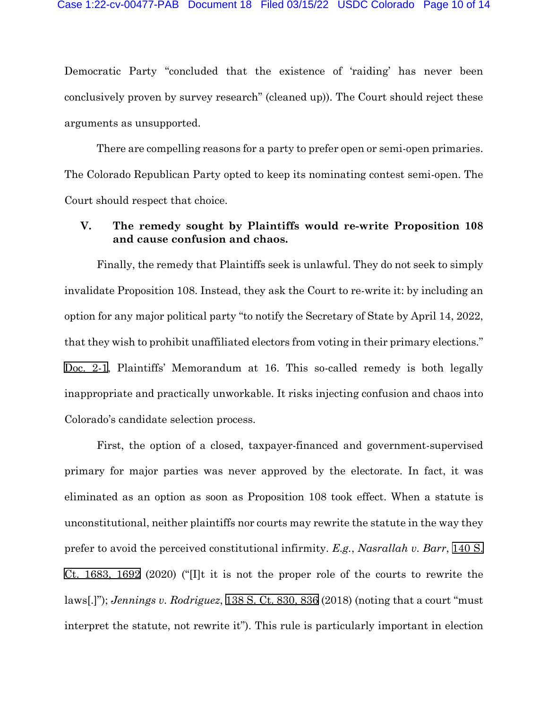Democratic Party "concluded that the existence of 'raiding' has never been conclusively proven by survey research" (cleaned up)). The Court should reject these arguments as unsupported.

There are compelling reasons for a party to prefer open or semi-open primaries. The Colorado Republican Party opted to keep its nominating contest semi-open. The Court should respect that choice.

## **V. The remedy sought by Plaintiffs would re-write Proposition 108 and cause confusion and chaos.**

Finally, the remedy that Plaintiffs seek is unlawful. They do not seek to simply invalidate Proposition 108. Instead, they ask the Court to re-write it: by including an option for any major political party "to notify the Secretary of State by April 14, 2022, that they wish to prohibit unaffiliated electors from voting in their primary elections." [Doc.](https://cod-ecf.sso.dcn/n/cmecfservices/rest/file/finddoc?caseYear=2022&caseNum=00477&caseType=cv&caseOffice=1&docNum=2&docSeq=1) 2-1, Plaintiffs' Memorandum at 16. This so-called remedy is both legally inappropriate and practically unworkable. It risks injecting confusion and chaos into Colorado's candidate selection process.

First, the option of a closed, taxpayer-financed and government-supervised primary for major parties was never approved by the electorate. In fact, it was eliminated as an option as soon as Proposition 108 took effect. When a statute is unconstitutional, neither plaintiffs nor courts may rewrite the statute in the way they prefer to avoid the perceived constitutional infirmity. *E.g.*, *Nasrallah v. Barr*, [140 S.](http://scholar.google.com/scholar?q=140++s.+ct.++1683&btnG=&hl=en&as_sdt=6)  [Ct. 1683, 1692](http://scholar.google.com/scholar?q=140++s.+ct.++1683&btnG=&hl=en&as_sdt=6) (2020) ("[I]t it is not the proper role of the courts to rewrite the laws[.]"); *Jennings v. Rodriguez*, [138 S. Ct. 830, 836](http://scholar.google.com/scholar?q=138+s.+ct.+830&btnG=&hl=en&as_sdt=6) (2018) (noting that a court "must interpret the statute, not rewrite it"). This rule is particularly important in election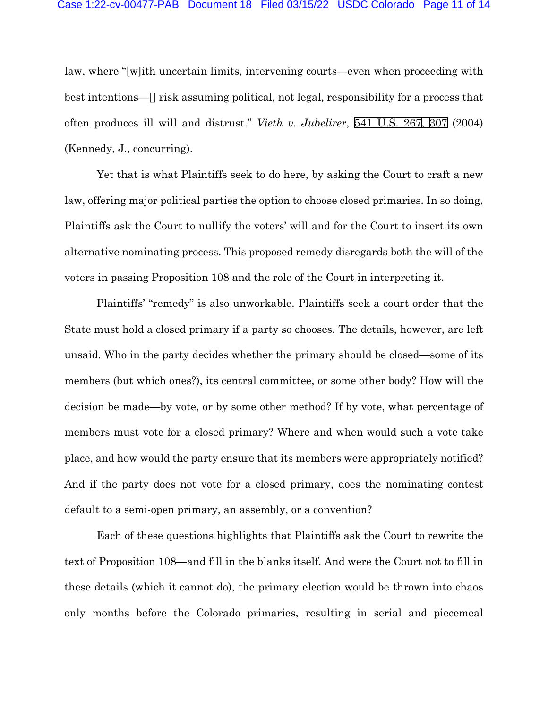law, where "[w]ith uncertain limits, intervening courts—even when proceeding with best intentions—[] risk assuming political, not legal, responsibility for a process that often produces ill will and distrust." *Vieth v. Jubelirer*, [541 U.S. 26](http://www.google.com/search?q=541+u.s.+267)[7, 3](http://scholar.google.com/scholar?q=541+u.s.+267&btnG=&hl=en&as_sdt=6)[07](http://www.google.com/search?q=307) (2004) (Kennedy, J., concurring).

Yet that is what Plaintiffs seek to do here, by asking the Court to craft a new law, offering major political parties the option to choose closed primaries. In so doing, Plaintiffs ask the Court to nullify the voters' will and for the Court to insert its own alternative nominating process. This proposed remedy disregards both the will of the voters in passing Proposition 108 and the role of the Court in interpreting it.

Plaintiffs' "remedy" is also unworkable. Plaintiffs seek a court order that the State must hold a closed primary if a party so chooses. The details, however, are left unsaid. Who in the party decides whether the primary should be closed—some of its members (but which ones?), its central committee, or some other body? How will the decision be made—by vote, or by some other method? If by vote, what percentage of members must vote for a closed primary? Where and when would such a vote take place, and how would the party ensure that its members were appropriately notified? And if the party does not vote for a closed primary, does the nominating contest default to a semi-open primary, an assembly, or a convention?

Each of these questions highlights that Plaintiffs ask the Court to rewrite the text of Proposition 108—and fill in the blanks itself. And were the Court not to fill in these details (which it cannot do), the primary election would be thrown into chaos only months before the Colorado primaries, resulting in serial and piecemeal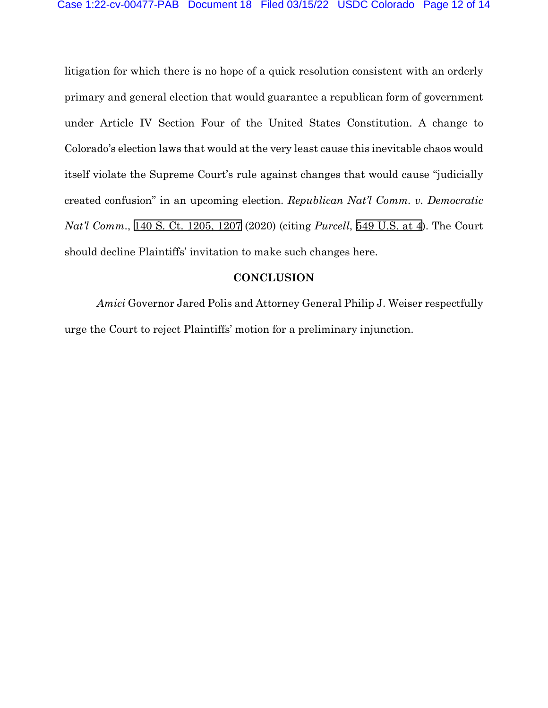litigation for which there is no hope of a quick resolution consistent with an orderly primary and general election that would guarantee a republican form of government under Article IV Section Four of the United States Constitution. A change to Colorado's election laws that would at the very least cause this inevitable chaos would itself violate the Supreme Court's rule against changes that would cause "judicially created confusion" in an upcoming election. *Republican Nat'l Comm. v. Democratic Nat'l Comm*., [140 S. Ct. 1205, 1207](http://scholar.google.com/scholar?q=140+s.+ct.+1205&btnG=&hl=en&as_sdt=6) (2020) (citing *Purcell*, [549 U.S.](http://scholar.google.com/scholar?q=549+u.s.+1&btnG=&hl=en&as_sdt=6) at 4). The Court should decline Plaintiffs' invitation to make such changes here.

### **CONCLUSION**

*Amici* Governor Jared Polis and Attorney General Philip J. Weiser respectfully urge the Court to reject Plaintiffs' motion for a preliminary injunction.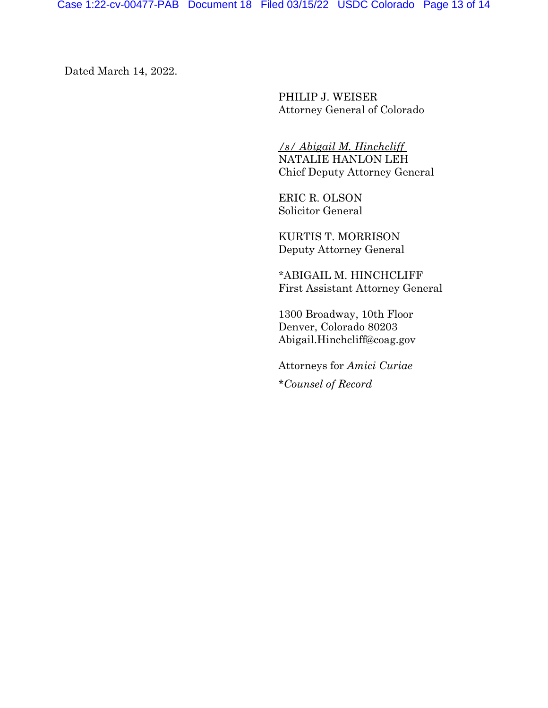Dated March 14, 2022.

PHILIP J. WEISER Attorney General of Colorado

*/s/ Abigail M. Hinchcliff* NATALIE HANLON LEH Chief Deputy Attorney General

ERIC R. OLSON Solicitor General

KURTIS T. MORRISON Deputy Attorney General

\*ABIGAIL M. HINCHCLIFF First Assistant Attorney General

1300 Broadway, 10th Floor Denver, Colorado 80203 Abigail.Hinchcliff@coag.gov

Attorneys for *Amici Curiae* \**Counsel of Record*